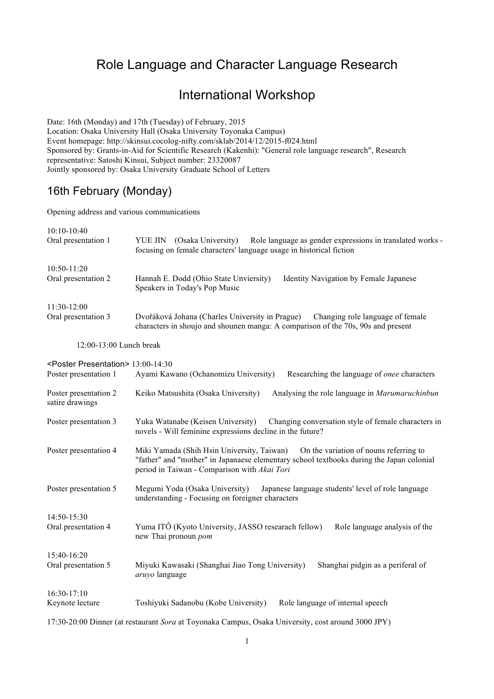## Role Language and Character Language Research

## International Workshop

Date: 16th (Monday) and 17th (Tuesday) of February, 2015 Location: Osaka University Hall (Osaka University Toyonaka Campus) Event homepage: http://skinsui.cocolog-nifty.com/sklab/2014/12/2015-f024.html Sponsored by: Grants-in-Aid for Scientific Research (Kakenhi): "General role language research", Research representative: Satoshi Kinsui, Subject number: 23320087 Jointly sponsored by: Osaka University Graduate School of Letters

## 16th February (Monday)

Opening address and various communications

| 10:10-10:40<br>Oral presentation 1                                                                 | YUE JIN (Osaka University)<br>Role language as gender expressions in translated works -<br>focusing on female characters' language usage in historical fiction                                                                   |
|----------------------------------------------------------------------------------------------------|----------------------------------------------------------------------------------------------------------------------------------------------------------------------------------------------------------------------------------|
| 10:50-11:20<br>Oral presentation 2                                                                 | Hannah E. Dodd (Ohio State Unviersity)<br>Identity Navigation by Female Japanese<br>Speakers in Today's Pop Music                                                                                                                |
| 11:30-12:00                                                                                        |                                                                                                                                                                                                                                  |
| Oral presentation 3                                                                                | Dvořáková Johana (Charles University in Prague)<br>Changing role language of female<br>characters in shoujo and shounen manga: A comparison of the 70s, 90s and present                                                          |
| 12:00-13:00 Lunch break                                                                            |                                                                                                                                                                                                                                  |
| <poster presentation=""> 13:00-14:30<br/>Poster presentation 1</poster>                            | Ayami Kawano (Ochanomizu University)<br>Researching the language of onee characters                                                                                                                                              |
| Poster presentation 2<br>satire drawings                                                           | Keiko Matsushita (Osaka University)<br>Analysing the role language in Marumaruchinbun                                                                                                                                            |
| Poster presentation 3                                                                              | Yuka Watanabe (Keisen University)<br>Changing conversation style of female characters in<br>novels - Will feminine expressions decline in the future?                                                                            |
| Poster presentation 4                                                                              | Miki Yamada (Shih Hsin University, Taiwan)<br>On the variation of nouns referring to<br>"father" and "mother" in Japanaese elementary school textbooks during the Japan colonial<br>period in Taiwan - Comparison with Akai Tori |
| Poster presentation 5                                                                              | Megumi Yoda (Osaka University)<br>Japanese language students' level of role language<br>understanding - Focusing on foreigner characters                                                                                         |
| 14:50-15:30<br>Oral presentation 4                                                                 | Yuma ITÔ (Kyoto University, JASSO researach fellow)<br>Role language analysis of the<br>new Thai pronoun pom                                                                                                                     |
| $15:40-16:20$                                                                                      |                                                                                                                                                                                                                                  |
| Oral presentation 5                                                                                | Miyuki Kawasaki (Shanghai Jiao Tong University)<br>Shanghai pidgin as a periferal of<br>aruyo language                                                                                                                           |
| 16:30-17:10<br>Keynote lecture                                                                     | Toshiyuki Sadanobu (Kobe University)<br>Role language of internal speech                                                                                                                                                         |
| 17:30-20:00 Dinner (at restaurant Sora at Toyonaka Campus, Osaka University, cost around 3000 JPY) |                                                                                                                                                                                                                                  |